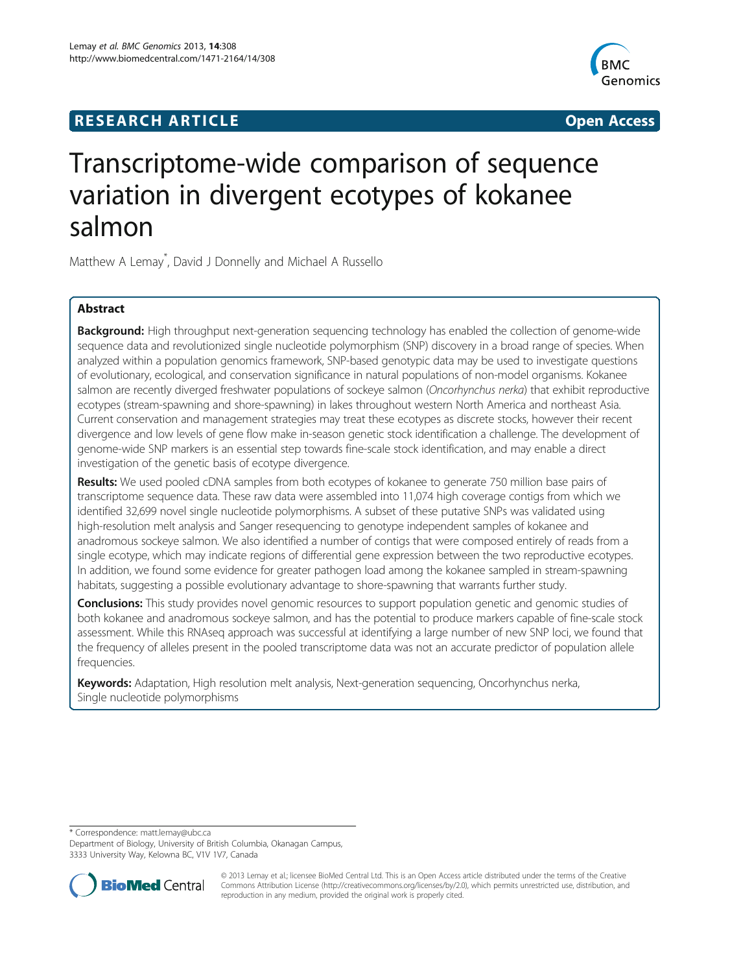# **RESEARCH ARTICLE Example 2014 12:30 The SEAR CHI ACCESS**



# Transcriptome-wide comparison of sequence variation in divergent ecotypes of kokanee salmon

Matthew A Lemay\* , David J Donnelly and Michael A Russello

# Abstract

Background: High throughput next-generation sequencing technology has enabled the collection of genome-wide sequence data and revolutionized single nucleotide polymorphism (SNP) discovery in a broad range of species. When analyzed within a population genomics framework, SNP-based genotypic data may be used to investigate questions of evolutionary, ecological, and conservation significance in natural populations of non-model organisms. Kokanee salmon are recently diverged freshwater populations of sockeye salmon (Oncorhynchus nerka) that exhibit reproductive ecotypes (stream-spawning and shore-spawning) in lakes throughout western North America and northeast Asia. Current conservation and management strategies may treat these ecotypes as discrete stocks, however their recent divergence and low levels of gene flow make in-season genetic stock identification a challenge. The development of genome-wide SNP markers is an essential step towards fine-scale stock identification, and may enable a direct investigation of the genetic basis of ecotype divergence.

Results: We used pooled cDNA samples from both ecotypes of kokanee to generate 750 million base pairs of transcriptome sequence data. These raw data were assembled into 11,074 high coverage contigs from which we identified 32,699 novel single nucleotide polymorphisms. A subset of these putative SNPs was validated using high-resolution melt analysis and Sanger resequencing to genotype independent samples of kokanee and anadromous sockeye salmon. We also identified a number of contigs that were composed entirely of reads from a single ecotype, which may indicate regions of differential gene expression between the two reproductive ecotypes. In addition, we found some evidence for greater pathogen load among the kokanee sampled in stream-spawning habitats, suggesting a possible evolutionary advantage to shore-spawning that warrants further study.

**Conclusions:** This study provides novel genomic resources to support population genetic and genomic studies of both kokanee and anadromous sockeye salmon, and has the potential to produce markers capable of fine-scale stock assessment. While this RNAseq approach was successful at identifying a large number of new SNP loci, we found that the frequency of alleles present in the pooled transcriptome data was not an accurate predictor of population allele frequencies.

Keywords: Adaptation, High resolution melt analysis, Next-generation sequencing, Oncorhynchus nerka, Single nucleotide polymorphisms

\* Correspondence: [matt.lemay@ubc.ca](mailto:matt.lemay@ubc.ca)

Department of Biology, University of British Columbia, Okanagan Campus, 3333 University Way, Kelowna BC, V1V 1V7, Canada



© 2013 Lemay et al.; licensee BioMed Central Ltd. This is an Open Access article distributed under the terms of the Creative Commons Attribution License [\(http://creativecommons.org/licenses/by/2.0\)](http://creativecommons.org/licenses/by/2.0), which permits unrestricted use, distribution, and reproduction in any medium, provided the original work is properly cited.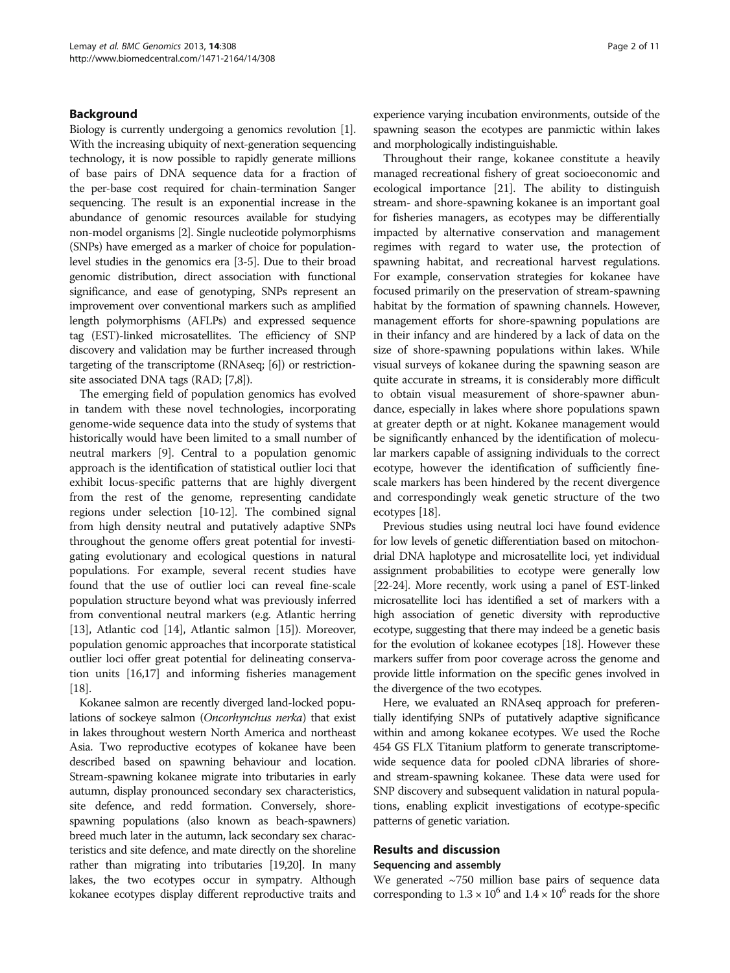# Background

Biology is currently undergoing a genomics revolution [[1](#page-9-0)]. With the increasing ubiquity of next-generation sequencing technology, it is now possible to rapidly generate millions of base pairs of DNA sequence data for a fraction of the per-base cost required for chain-termination Sanger sequencing. The result is an exponential increase in the abundance of genomic resources available for studying non-model organisms [\[2\]](#page-9-0). Single nucleotide polymorphisms (SNPs) have emerged as a marker of choice for populationlevel studies in the genomics era [[3](#page-9-0)[-5\]](#page-10-0). Due to their broad genomic distribution, direct association with functional significance, and ease of genotyping, SNPs represent an improvement over conventional markers such as amplified length polymorphisms (AFLPs) and expressed sequence tag (EST)-linked microsatellites. The efficiency of SNP discovery and validation may be further increased through targeting of the transcriptome (RNAseq; [\[6\]](#page-10-0)) or restrictionsite associated DNA tags (RAD; [[7,8\]](#page-10-0)).

The emerging field of population genomics has evolved in tandem with these novel technologies, incorporating genome-wide sequence data into the study of systems that historically would have been limited to a small number of neutral markers [\[9\]](#page-10-0). Central to a population genomic approach is the identification of statistical outlier loci that exhibit locus-specific patterns that are highly divergent from the rest of the genome, representing candidate regions under selection [[10](#page-10-0)-[12\]](#page-10-0). The combined signal from high density neutral and putatively adaptive SNPs throughout the genome offers great potential for investigating evolutionary and ecological questions in natural populations. For example, several recent studies have found that the use of outlier loci can reveal fine-scale population structure beyond what was previously inferred from conventional neutral markers (e.g. Atlantic herring [[13](#page-10-0)], Atlantic cod [[14](#page-10-0)], Atlantic salmon [[15](#page-10-0)]). Moreover, population genomic approaches that incorporate statistical outlier loci offer great potential for delineating conservation units [\[16,17](#page-10-0)] and informing fisheries management [[18](#page-10-0)].

Kokanee salmon are recently diverged land-locked populations of sockeye salmon (Oncorhynchus nerka) that exist in lakes throughout western North America and northeast Asia. Two reproductive ecotypes of kokanee have been described based on spawning behaviour and location. Stream-spawning kokanee migrate into tributaries in early autumn, display pronounced secondary sex characteristics, site defence, and redd formation. Conversely, shorespawning populations (also known as beach-spawners) breed much later in the autumn, lack secondary sex characteristics and site defence, and mate directly on the shoreline rather than migrating into tributaries [\[19,20\]](#page-10-0). In many lakes, the two ecotypes occur in sympatry. Although kokanee ecotypes display different reproductive traits and experience varying incubation environments, outside of the spawning season the ecotypes are panmictic within lakes and morphologically indistinguishable.

Throughout their range, kokanee constitute a heavily managed recreational fishery of great socioeconomic and ecological importance [\[21\]](#page-10-0). The ability to distinguish stream- and shore-spawning kokanee is an important goal for fisheries managers, as ecotypes may be differentially impacted by alternative conservation and management regimes with regard to water use, the protection of spawning habitat, and recreational harvest regulations. For example, conservation strategies for kokanee have focused primarily on the preservation of stream-spawning habitat by the formation of spawning channels. However, management efforts for shore-spawning populations are in their infancy and are hindered by a lack of data on the size of shore-spawning populations within lakes. While visual surveys of kokanee during the spawning season are quite accurate in streams, it is considerably more difficult to obtain visual measurement of shore-spawner abundance, especially in lakes where shore populations spawn at greater depth or at night. Kokanee management would be significantly enhanced by the identification of molecular markers capable of assigning individuals to the correct ecotype, however the identification of sufficiently finescale markers has been hindered by the recent divergence and correspondingly weak genetic structure of the two ecotypes [[18](#page-10-0)].

Previous studies using neutral loci have found evidence for low levels of genetic differentiation based on mitochondrial DNA haplotype and microsatellite loci, yet individual assignment probabilities to ecotype were generally low [[22](#page-10-0)-[24\]](#page-10-0). More recently, work using a panel of EST-linked microsatellite loci has identified a set of markers with a high association of genetic diversity with reproductive ecotype, suggesting that there may indeed be a genetic basis for the evolution of kokanee ecotypes [[18](#page-10-0)]. However these markers suffer from poor coverage across the genome and provide little information on the specific genes involved in the divergence of the two ecotypes.

Here, we evaluated an RNAseq approach for preferentially identifying SNPs of putatively adaptive significance within and among kokanee ecotypes. We used the Roche 454 GS FLX Titanium platform to generate transcriptomewide sequence data for pooled cDNA libraries of shoreand stream-spawning kokanee. These data were used for SNP discovery and subsequent validation in natural populations, enabling explicit investigations of ecotype-specific patterns of genetic variation.

# Results and discussion

## Sequencing and assembly

We generated  $\sim$ 750 million base pairs of sequence data corresponding to  $1.3 \times 10^6$  and  $1.4 \times 10^6$  reads for the shore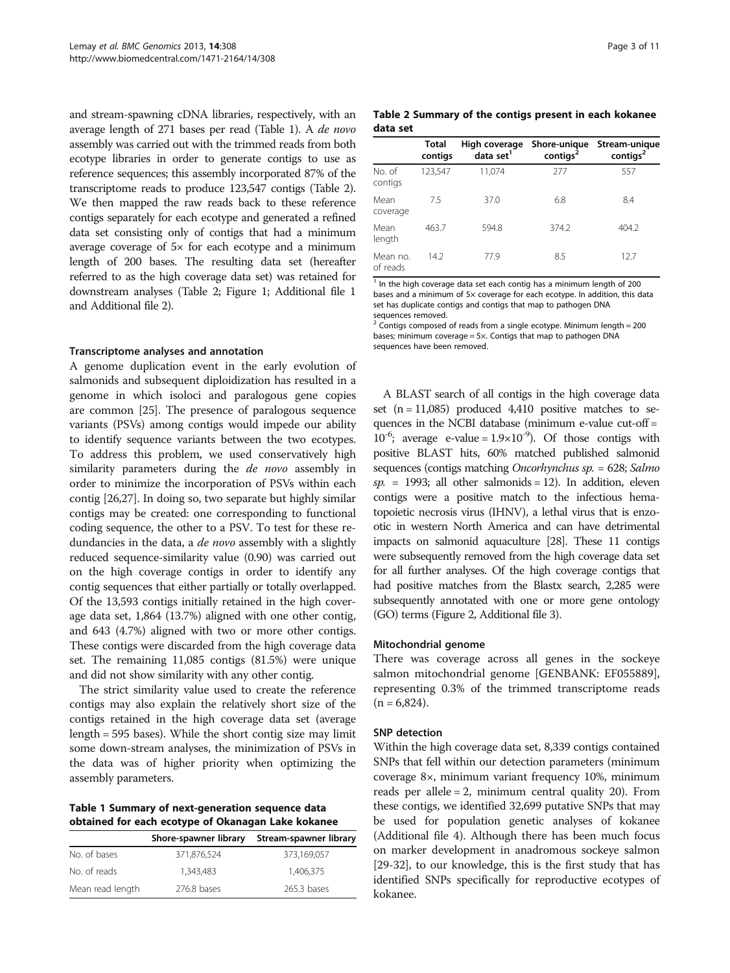<span id="page-2-0"></span>and stream-spawning cDNA libraries, respectively, with an average length of 271 bases per read (Table 1). A de novo assembly was carried out with the trimmed reads from both ecotype libraries in order to generate contigs to use as reference sequences; this assembly incorporated 87% of the transcriptome reads to produce 123,547 contigs (Table 2). We then mapped the raw reads back to these reference contigs separately for each ecotype and generated a refined data set consisting only of contigs that had a minimum average coverage of 5× for each ecotype and a minimum length of 200 bases. The resulting data set (hereafter referred to as the high coverage data set) was retained for downstream analyses (Table 2; Figure [1](#page-3-0); Additional file [1](#page-9-0) and Additional file [2\)](#page-9-0).

#### Transcriptome analyses and annotation

A genome duplication event in the early evolution of salmonids and subsequent diploidization has resulted in a genome in which isoloci and paralogous gene copies are common [\[25\]](#page-10-0). The presence of paralogous sequence variants (PSVs) among contigs would impede our ability to identify sequence variants between the two ecotypes. To address this problem, we used conservatively high similarity parameters during the *de novo* assembly in order to minimize the incorporation of PSVs within each contig [\[26,27\]](#page-10-0). In doing so, two separate but highly similar contigs may be created: one corresponding to functional coding sequence, the other to a PSV. To test for these redundancies in the data, a *de novo* assembly with a slightly reduced sequence-similarity value (0.90) was carried out on the high coverage contigs in order to identify any contig sequences that either partially or totally overlapped. Of the 13,593 contigs initially retained in the high coverage data set, 1,864 (13.7%) aligned with one other contig, and 643 (4.7%) aligned with two or more other contigs. These contigs were discarded from the high coverage data set. The remaining 11,085 contigs (81.5%) were unique and did not show similarity with any other contig.

The strict similarity value used to create the reference contigs may also explain the relatively short size of the contigs retained in the high coverage data set (average length = 595 bases). While the short contig size may limit some down-stream analyses, the minimization of PSVs in the data was of higher priority when optimizing the assembly parameters.

Table 1 Summary of next-generation sequence data obtained for each ecotype of Okanagan Lake kokanee

|                  | Shore-spawner library | Stream-spawner library |
|------------------|-----------------------|------------------------|
| No. of bases     | 371,876,524           | 373,169,057            |
| No. of reads     | 1.343.483             | 1.406.375              |
| Mean read length | 276.8 bases           | 265.3 bases            |

Table 2 Summary of the contigs present in each kokanee data set

|                      | Total<br>contigs | High coverage<br>data set <sup>1</sup> | Shore-unique<br>contigs | Stream-unique<br>contigs <sup>2</sup> |
|----------------------|------------------|----------------------------------------|-------------------------|---------------------------------------|
| No. of<br>contigs    | 123,547          | 11,074                                 | 277                     | 557                                   |
| Mean<br>coverage     | 75               | 37.0                                   | 6.8                     | 8.4                                   |
| Mean<br>length       | 463.7            | 594.8                                  | 374.2                   | 404.2                                 |
| Mean no.<br>of reads | 14.2             | 77.9                                   | 8.5                     | 12.7                                  |

 $1$  In the high coverage data set each contig has a minimum length of 200 bases and a minimum of 5x coverage for each ecotype. In addition, this data set has duplicate contigs and contigs that map to pathogen DNA sequences removed.

 $2 \overline{2}$  Contigs composed of reads from a single ecotype. Minimum length = 200 bases; minimum coverage = 5×. Contigs that map to pathogen DNA sequences have been removed.

A BLAST search of all contigs in the high coverage data set  $(n = 11,085)$  produced 4,410 positive matches to sequences in the NCBI database (minimum e-value cut-off =  $10^{-6}$ ; average e-value =  $1.9 \times 10^{-9}$ ). Of those contigs with positive BLAST hits, 60% matched published salmonid sequences (contigs matching Oncorhynchus sp. = 628; Salmo  $sp. = 1993$ ; all other salmonids = 12). In addition, eleven contigs were a positive match to the infectious hematopoietic necrosis virus (IHNV), a lethal virus that is enzootic in western North America and can have detrimental impacts on salmonid aquaculture [\[28](#page-10-0)]. These 11 contigs were subsequently removed from the high coverage data set for all further analyses. Of the high coverage contigs that had positive matches from the Blastx search, 2,285 were subsequently annotated with one or more gene ontology (GO) terms (Figure [2,](#page-4-0) Additional file [3](#page-9-0)).

#### Mitochondrial genome

There was coverage across all genes in the sockeye salmon mitochondrial genome [GENBANK: EF055889], representing 0.3% of the trimmed transcriptome reads  $(n = 6,824)$ .

#### SNP detection

Within the high coverage data set, 8,339 contigs contained SNPs that fell within our detection parameters (minimum coverage 8×, minimum variant frequency 10%, minimum reads per allele = 2, minimum central quality 20). From these contigs, we identified 32,699 putative SNPs that may be used for population genetic analyses of kokanee (Additional file [4\)](#page-9-0). Although there has been much focus on marker development in anadromous sockeye salmon [[29](#page-10-0)-[32\]](#page-10-0), to our knowledge, this is the first study that has identified SNPs specifically for reproductive ecotypes of kokanee.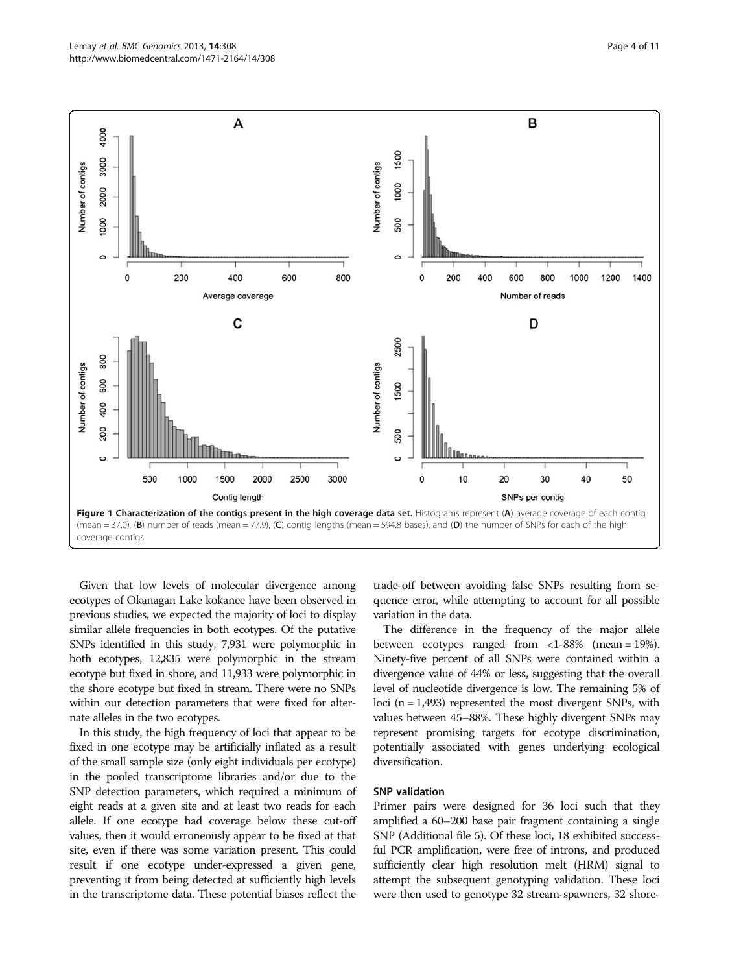<span id="page-3-0"></span>

Given that low levels of molecular divergence among ecotypes of Okanagan Lake kokanee have been observed in previous studies, we expected the majority of loci to display similar allele frequencies in both ecotypes. Of the putative SNPs identified in this study, 7,931 were polymorphic in both ecotypes, 12,835 were polymorphic in the stream ecotype but fixed in shore, and 11,933 were polymorphic in the shore ecotype but fixed in stream. There were no SNPs within our detection parameters that were fixed for alternate alleles in the two ecotypes.

In this study, the high frequency of loci that appear to be fixed in one ecotype may be artificially inflated as a result of the small sample size (only eight individuals per ecotype) in the pooled transcriptome libraries and/or due to the SNP detection parameters, which required a minimum of eight reads at a given site and at least two reads for each allele. If one ecotype had coverage below these cut-off values, then it would erroneously appear to be fixed at that site, even if there was some variation present. This could result if one ecotype under-expressed a given gene, preventing it from being detected at sufficiently high levels in the transcriptome data. These potential biases reflect the

trade-off between avoiding false SNPs resulting from sequence error, while attempting to account for all possible variation in the data.

The difference in the frequency of the major allele between ecotypes ranged from  $\langle$ 1-88% (mean = 19%). Ninety-five percent of all SNPs were contained within a divergence value of 44% or less, suggesting that the overall level of nucleotide divergence is low. The remaining 5% of loci ( $n = 1,493$ ) represented the most divergent SNPs, with values between 45–88%. These highly divergent SNPs may represent promising targets for ecotype discrimination, potentially associated with genes underlying ecological diversification.

# SNP validation

Primer pairs were designed for 36 loci such that they amplified a 60–200 base pair fragment containing a single SNP (Additional file [5\)](#page-9-0). Of these loci, 18 exhibited successful PCR amplification, were free of introns, and produced sufficiently clear high resolution melt (HRM) signal to attempt the subsequent genotyping validation. These loci were then used to genotype 32 stream-spawners, 32 shore-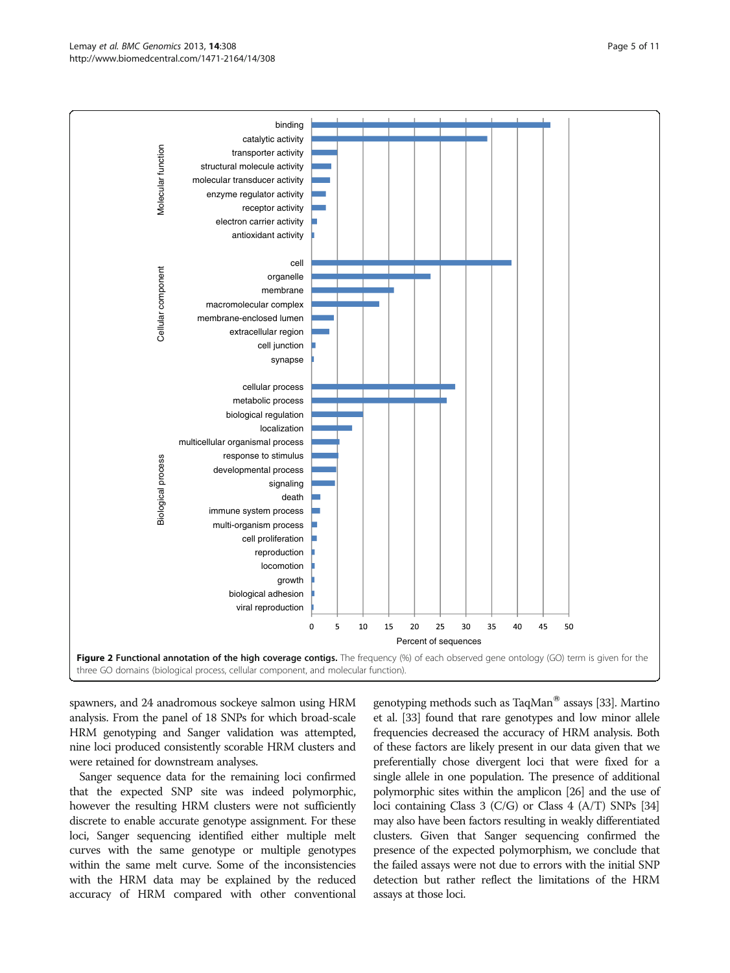#### <span id="page-4-0"></span>Lemay et al. BMC Genomics 2013, 14:308 Page 5 of 11 http://www.biomedcentral.com/1471-2164/14/308



spawners, and 24 anadromous sockeye salmon using HRM analysis. From the panel of 18 SNPs for which broad-scale HRM genotyping and Sanger validation was attempted, nine loci produced consistently scorable HRM clusters and were retained for downstream analyses.

Sanger sequence data for the remaining loci confirmed that the expected SNP site was indeed polymorphic, however the resulting HRM clusters were not sufficiently discrete to enable accurate genotype assignment. For these loci, Sanger sequencing identified either multiple melt curves with the same genotype or multiple genotypes within the same melt curve. Some of the inconsistencies with the HRM data may be explained by the reduced accuracy of HRM compared with other conventional genotyping methods such as TaqMan® assays [\[33\]](#page-10-0). Martino et al. [\[33](#page-10-0)] found that rare genotypes and low minor allele frequencies decreased the accuracy of HRM analysis. Both of these factors are likely present in our data given that we preferentially chose divergent loci that were fixed for a single allele in one population. The presence of additional polymorphic sites within the amplicon [[26](#page-10-0)] and the use of loci containing Class 3 (C/G) or Class 4 (A/T) SNPs [\[34](#page-10-0)] may also have been factors resulting in weakly differentiated clusters. Given that Sanger sequencing confirmed the presence of the expected polymorphism, we conclude that the failed assays were not due to errors with the initial SNP detection but rather reflect the limitations of the HRM assays at those loci.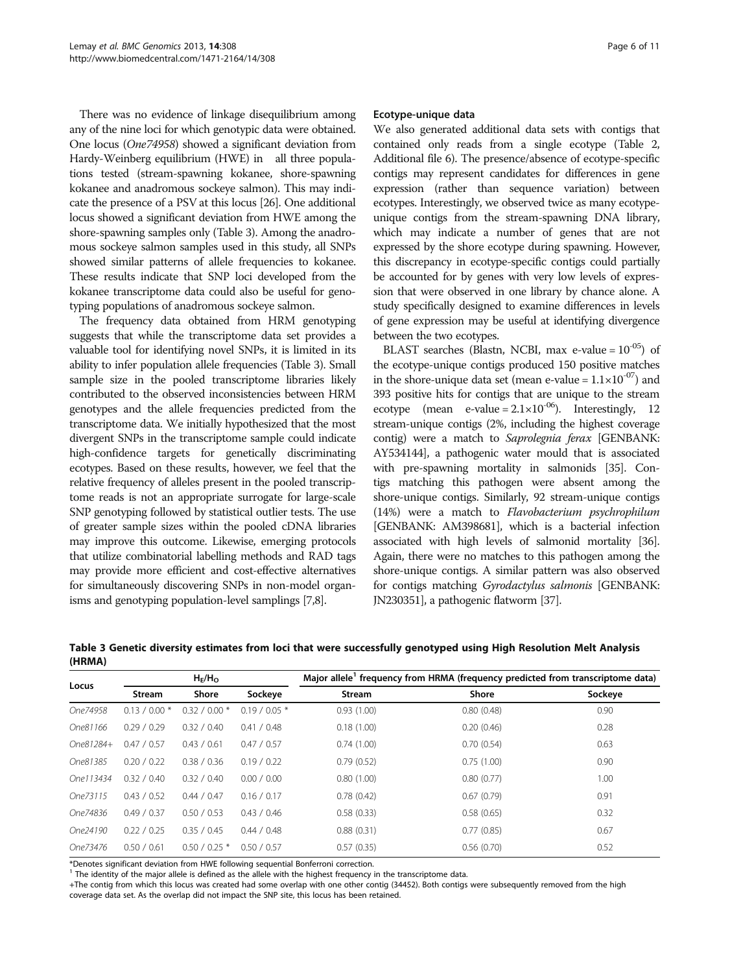There was no evidence of linkage disequilibrium among any of the nine loci for which genotypic data were obtained. One locus (One74958) showed a significant deviation from Hardy-Weinberg equilibrium (HWE) in all three populations tested (stream-spawning kokanee, shore-spawning kokanee and anadromous sockeye salmon). This may indicate the presence of a PSV at this locus [\[26\]](#page-10-0). One additional locus showed a significant deviation from HWE among the shore-spawning samples only (Table 3). Among the anadromous sockeye salmon samples used in this study, all SNPs showed similar patterns of allele frequencies to kokanee. These results indicate that SNP loci developed from the kokanee transcriptome data could also be useful for genotyping populations of anadromous sockeye salmon.

The frequency data obtained from HRM genotyping suggests that while the transcriptome data set provides a valuable tool for identifying novel SNPs, it is limited in its ability to infer population allele frequencies (Table 3). Small sample size in the pooled transcriptome libraries likely contributed to the observed inconsistencies between HRM genotypes and the allele frequencies predicted from the transcriptome data. We initially hypothesized that the most divergent SNPs in the transcriptome sample could indicate high-confidence targets for genetically discriminating ecotypes. Based on these results, however, we feel that the relative frequency of alleles present in the pooled transcriptome reads is not an appropriate surrogate for large-scale SNP genotyping followed by statistical outlier tests. The use of greater sample sizes within the pooled cDNA libraries may improve this outcome. Likewise, emerging protocols that utilize combinatorial labelling methods and RAD tags may provide more efficient and cost-effective alternatives for simultaneously discovering SNPs in non-model organisms and genotyping population-level samplings [\[7,8\]](#page-10-0).

#### Ecotype-unique data

We also generated additional data sets with contigs that contained only reads from a single ecotype (Table [2](#page-2-0), Additional file [6](#page-9-0)). The presence/absence of ecotype-specific contigs may represent candidates for differences in gene expression (rather than sequence variation) between ecotypes. Interestingly, we observed twice as many ecotypeunique contigs from the stream-spawning DNA library, which may indicate a number of genes that are not expressed by the shore ecotype during spawning. However, this discrepancy in ecotype-specific contigs could partially be accounted for by genes with very low levels of expression that were observed in one library by chance alone. A study specifically designed to examine differences in levels of gene expression may be useful at identifying divergence between the two ecotypes.

BLAST searches (Blastn, NCBI, max e-value =  $10^{-05}$ ) of the ecotype-unique contigs produced 150 positive matches in the shore-unique data set (mean e-value =  $1.1 \times 10^{-07}$ ) and 393 positive hits for contigs that are unique to the stream ecotype (mean e-value =  $2.1 \times 10^{-06}$ ). Interestingly, 12 stream-unique contigs (2%, including the highest coverage contig) were a match to Saprolegnia ferax [GENBANK: AY534144], a pathogenic water mould that is associated with pre-spawning mortality in salmonids [[35](#page-10-0)]. Contigs matching this pathogen were absent among the shore-unique contigs. Similarly, 92 stream-unique contigs (14%) were a match to Flavobacterium psychrophilum [GENBANK: AM398681], which is a bacterial infection associated with high levels of salmonid mortality [\[36](#page-10-0)]. Again, there were no matches to this pathogen among the shore-unique contigs. A similar pattern was also observed for contigs matching Gyrodactylus salmonis [GENBANK: JN230351], a pathogenic flatworm [\[37](#page-10-0)].

Table 3 Genetic diversity estimates from loci that were successfully genotyped using High Resolution Melt Analysis (HRMA)

| Locus     | $H_E/H_O$      |                 |                 | Major allele <sup>1</sup> frequency from HRMA (frequency predicted from transcriptome data) |              |         |
|-----------|----------------|-----------------|-----------------|---------------------------------------------------------------------------------------------|--------------|---------|
|           | Stream         | Shore           | Sockeye         | Stream                                                                                      | <b>Shore</b> | Sockeye |
| One74958  | $0.13 / 0.00*$ | $0.32 / 0.00*$  | $0.19 / 0.05$ * | 0.93(1.00)                                                                                  | 0.80(0.48)   | 0.90    |
| One81166  | 0.29 / 0.29    | 0.32 / 0.40     | 0.41 / 0.48     | 0.18(1.00)                                                                                  | 0.20(0.46)   | 0.28    |
| One81284+ | 0.47 / 0.57    | 0.43 / 0.61     | 0.47 / 0.57     | 0.74(1.00)                                                                                  | 0.70(0.54)   | 0.63    |
| One81385  | 0.20 / 0.22    | 0.38 / 0.36     | 0.19 / 0.22     | 0.79(0.52)                                                                                  | 0.75(1.00)   | 0.90    |
| One113434 | 0.32 / 0.40    | 0.32 / 0.40     | 0.00 / 0.00     | 0.80(1.00)                                                                                  | 0.80(0.77)   | 1.00    |
| One73115  | 0.43 / 0.52    | 0.44 / 0.47     | 0.16 / 0.17     | 0.78(0.42)                                                                                  | 0.67(0.79)   | 0.91    |
| One74836  | 0.49 / 0.37    | 0.50 / 0.53     | 0.43 / 0.46     | 0.58(0.33)                                                                                  | 0.58(0.65)   | 0.32    |
| One24190  | 0.22 / 0.25    | 0.35 / 0.45     | 0.44 / 0.48     | 0.88(0.31)                                                                                  | 0.77(0.85)   | 0.67    |
| One73476  | 0.50 / 0.61    | $0.50 / 0.25$ * | 0.50 / 0.57     | 0.57(0.35)                                                                                  | 0.56(0.70)   | 0.52    |

\*Denotes significant deviation from HWE following sequential Bonferroni correction.

 $<sup>1</sup>$  The identity of the major allele is defined as the allele with the highest frequency in the transcriptome data.</sup>

+The contig from which this locus was created had some overlap with one other contig (34452). Both contigs were subsequently removed from the high coverage data set. As the overlap did not impact the SNP site, this locus has been retained.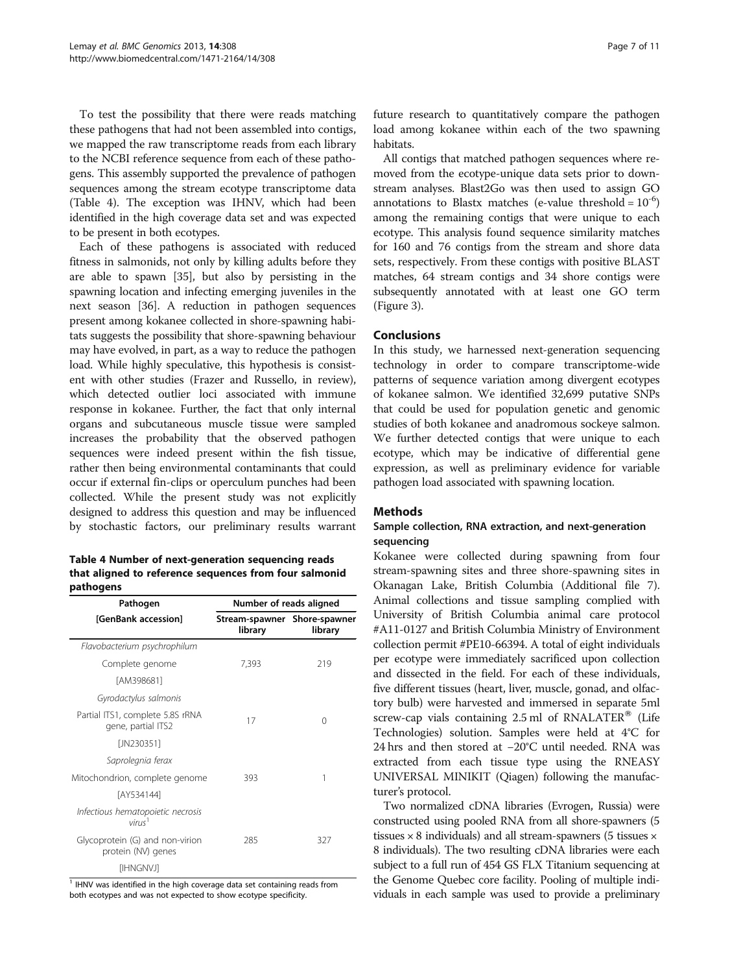To test the possibility that there were reads matching these pathogens that had not been assembled into contigs, we mapped the raw transcriptome reads from each library to the NCBI reference sequence from each of these pathogens. This assembly supported the prevalence of pathogen sequences among the stream ecotype transcriptome data (Table 4). The exception was IHNV, which had been identified in the high coverage data set and was expected to be present in both ecotypes.

Each of these pathogens is associated with reduced fitness in salmonids, not only by killing adults before they are able to spawn [\[35\]](#page-10-0), but also by persisting in the spawning location and infecting emerging juveniles in the next season [[36](#page-10-0)]. A reduction in pathogen sequences present among kokanee collected in shore-spawning habitats suggests the possibility that shore-spawning behaviour may have evolved, in part, as a way to reduce the pathogen load. While highly speculative, this hypothesis is consistent with other studies (Frazer and Russello, in review), which detected outlier loci associated with immune response in kokanee. Further, the fact that only internal organs and subcutaneous muscle tissue were sampled increases the probability that the observed pathogen sequences were indeed present within the fish tissue, rather then being environmental contaminants that could occur if external fin-clips or operculum punches had been collected. While the present study was not explicitly designed to address this question and may be influenced by stochastic factors, our preliminary results warrant

| Table 4 Number of next-generation sequencing reads     |
|--------------------------------------------------------|
| that aligned to reference sequences from four salmonid |
| pathogens                                              |

| Pathogen                                                | Number of reads aligned                 |         |  |
|---------------------------------------------------------|-----------------------------------------|---------|--|
| [GenBank accession]                                     | Stream-spawner Shore-spawner<br>library | library |  |
| Flavobacterium psychrophilum                            |                                         |         |  |
| Complete genome                                         | 7,393                                   | 219     |  |
| fAM3986811                                              |                                         |         |  |
| Gyrodactylus salmonis                                   |                                         |         |  |
| Partial ITS1, complete 5.8S rRNA<br>gene, partial ITS2  | 17                                      | 0       |  |
| [JN230351]                                              |                                         |         |  |
| Saprolegnia ferax                                       |                                         |         |  |
| Mitochondrion, complete genome                          | 393                                     | 1       |  |
| [AY534144]                                              |                                         |         |  |
| Infectious hematopoietic necrosis<br>virus <sup>1</sup> |                                         |         |  |
| Glycoprotein (G) and non-virion<br>protein (NV) genes   | 285                                     | 327     |  |
| [IHNGNVJ]                                               |                                         |         |  |

 $1$  IHNV was identified in the high coverage data set containing reads from both ecotypes and was not expected to show ecotype specificity.

future research to quantitatively compare the pathogen load among kokanee within each of the two spawning habitats.

All contigs that matched pathogen sequences where removed from the ecotype-unique data sets prior to downstream analyses. Blast2Go was then used to assign GO annotations to Blastx matches (e-value threshold =  $10^{-6}$ ) among the remaining contigs that were unique to each ecotype. This analysis found sequence similarity matches for 160 and 76 contigs from the stream and shore data sets, respectively. From these contigs with positive BLAST matches, 64 stream contigs and 34 shore contigs were subsequently annotated with at least one GO term (Figure [3](#page-7-0)).

# Conclusions

In this study, we harnessed next-generation sequencing technology in order to compare transcriptome-wide patterns of sequence variation among divergent ecotypes of kokanee salmon. We identified 32,699 putative SNPs that could be used for population genetic and genomic studies of both kokanee and anadromous sockeye salmon. We further detected contigs that were unique to each ecotype, which may be indicative of differential gene expression, as well as preliminary evidence for variable pathogen load associated with spawning location.

# Methods

# Sample collection, RNA extraction, and next-generation sequencing

Kokanee were collected during spawning from four stream-spawning sites and three shore-spawning sites in Okanagan Lake, British Columbia (Additional file [7](#page-9-0)). Animal collections and tissue sampling complied with University of British Columbia animal care protocol #A11-0127 and British Columbia Ministry of Environment collection permit #PE10-66394. A total of eight individuals per ecotype were immediately sacrificed upon collection and dissected in the field. For each of these individuals, five different tissues (heart, liver, muscle, gonad, and olfactory bulb) were harvested and immersed in separate 5ml screw-cap vials containing  $2.5$  ml of RNALATER® (Life Technologies) solution. Samples were held at 4°C for 24 hrs and then stored at −20°C until needed. RNA was extracted from each tissue type using the RNEASY UNIVERSAL MINIKIT (Qiagen) following the manufacturer's protocol.

Two normalized cDNA libraries (Evrogen, Russia) were constructed using pooled RNA from all shore-spawners (5 tissues  $\times$  8 individuals) and all stream-spawners (5 tissues  $\times$ 8 individuals). The two resulting cDNA libraries were each subject to a full run of 454 GS FLX Titanium sequencing at the Genome Quebec core facility. Pooling of multiple individuals in each sample was used to provide a preliminary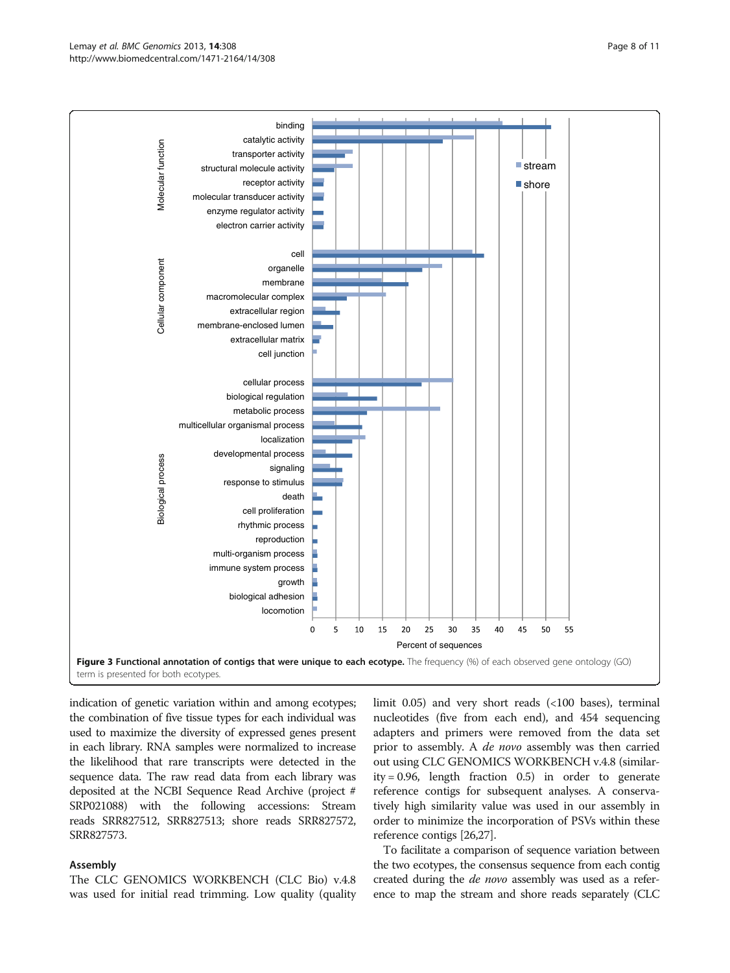#### <span id="page-7-0"></span>Lemay et al. BMC Genomics 2013, 14:308 Page 8 of 11 http://www.biomedcentral.com/1471-2164/14/308



indication of genetic variation within and among ecotypes; the combination of five tissue types for each individual was used to maximize the diversity of expressed genes present in each library. RNA samples were normalized to increase the likelihood that rare transcripts were detected in the sequence data. The raw read data from each library was deposited at the NCBI Sequence Read Archive (project # SRP021088) with the following accessions: Stream reads SRR827512, SRR827513; shore reads SRR827572, SRR827573.

#### Assembly

The CLC GENOMICS WORKBENCH (CLC Bio) v.4.8 was used for initial read trimming. Low quality (quality limit 0.05) and very short reads (<100 bases), terminal nucleotides (five from each end), and 454 sequencing adapters and primers were removed from the data set prior to assembly. A *de novo* assembly was then carried out using CLC GENOMICS WORKBENCH v.4.8 (similarity = 0.96, length fraction 0.5) in order to generate reference contigs for subsequent analyses. A conservatively high similarity value was used in our assembly in order to minimize the incorporation of PSVs within these reference contigs [[26,27\]](#page-10-0).

To facilitate a comparison of sequence variation between the two ecotypes, the consensus sequence from each contig created during the *de novo* assembly was used as a reference to map the stream and shore reads separately (CLC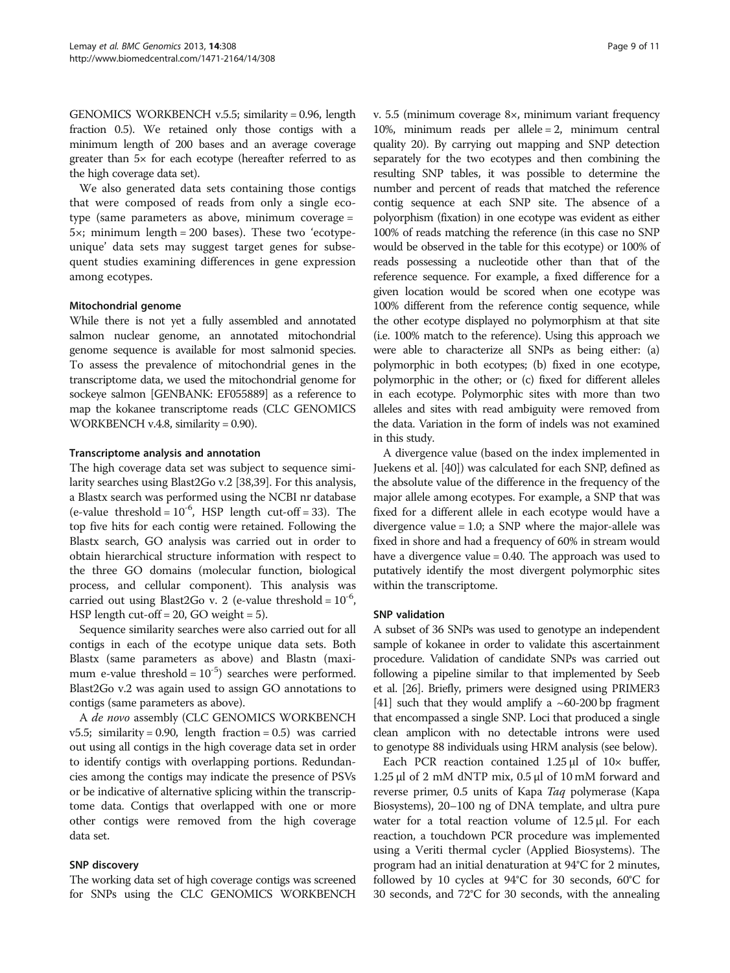GENOMICS WORKBENCH v.5.5; similarity = 0.96, length fraction 0.5). We retained only those contigs with a minimum length of 200 bases and an average coverage greater than 5× for each ecotype (hereafter referred to as the high coverage data set).

We also generated data sets containing those contigs that were composed of reads from only a single ecotype (same parameters as above, minimum coverage =  $5x$ ; minimum length = 200 bases). These two 'ecotypeunique' data sets may suggest target genes for subsequent studies examining differences in gene expression among ecotypes.

# Mitochondrial genome

While there is not yet a fully assembled and annotated salmon nuclear genome, an annotated mitochondrial genome sequence is available for most salmonid species. To assess the prevalence of mitochondrial genes in the transcriptome data, we used the mitochondrial genome for sockeye salmon [GENBANK: EF055889] as a reference to map the kokanee transcriptome reads (CLC GENOMICS WORKBENCH v.4.8, similarity = 0.90).

# Transcriptome analysis and annotation

The high coverage data set was subject to sequence similarity searches using Blast2Go v.2 [\[38,39\]](#page-10-0). For this analysis, a Blastx search was performed using the NCBI nr database (e-value threshold =  $10^{-6}$ , HSP length cut-off = 33). The top five hits for each contig were retained. Following the Blastx search, GO analysis was carried out in order to obtain hierarchical structure information with respect to the three GO domains (molecular function, biological process, and cellular component). This analysis was carried out using Blast2Go v. 2 (e-value threshold =  $10^{-6}$ , HSP length cut-off = 20, GO weight = 5).

Sequence similarity searches were also carried out for all contigs in each of the ecotype unique data sets. Both Blastx (same parameters as above) and Blastn (maximum e-value threshold =  $10^{-5}$ ) searches were performed. Blast2Go v.2 was again used to assign GO annotations to contigs (same parameters as above).

A de novo assembly (CLC GENOMICS WORKBENCH  $v5.5$ ; similarity = 0.90, length fraction = 0.5) was carried out using all contigs in the high coverage data set in order to identify contigs with overlapping portions. Redundancies among the contigs may indicate the presence of PSVs or be indicative of alternative splicing within the transcriptome data. Contigs that overlapped with one or more other contigs were removed from the high coverage data set.

#### SNP discovery

The working data set of high coverage contigs was screened for SNPs using the CLC GENOMICS WORKBENCH v. 5.5 (minimum coverage 8×, minimum variant frequency 10%, minimum reads per allele = 2, minimum central quality 20). By carrying out mapping and SNP detection separately for the two ecotypes and then combining the resulting SNP tables, it was possible to determine the number and percent of reads that matched the reference contig sequence at each SNP site. The absence of a polyorphism (fixation) in one ecotype was evident as either 100% of reads matching the reference (in this case no SNP would be observed in the table for this ecotype) or 100% of reads possessing a nucleotide other than that of the reference sequence. For example, a fixed difference for a given location would be scored when one ecotype was 100% different from the reference contig sequence, while the other ecotype displayed no polymorphism at that site (i.e. 100% match to the reference). Using this approach we were able to characterize all SNPs as being either: (a) polymorphic in both ecotypes; (b) fixed in one ecotype, polymorphic in the other; or (c) fixed for different alleles in each ecotype. Polymorphic sites with more than two alleles and sites with read ambiguity were removed from the data. Variation in the form of indels was not examined in this study.

A divergence value (based on the index implemented in Juekens et al. [\[40\]](#page-10-0)) was calculated for each SNP, defined as the absolute value of the difference in the frequency of the major allele among ecotypes. For example, a SNP that was fixed for a different allele in each ecotype would have a divergence value = 1.0; a SNP where the major-allele was fixed in shore and had a frequency of 60% in stream would have a divergence value = 0.40. The approach was used to putatively identify the most divergent polymorphic sites within the transcriptome.

#### SNP validation

A subset of 36 SNPs was used to genotype an independent sample of kokanee in order to validate this ascertainment procedure. Validation of candidate SNPs was carried out following a pipeline similar to that implemented by Seeb et al. [\[26\]](#page-10-0). Briefly, primers were designed using PRIMER3 [[41](#page-10-0)] such that they would amplify a  $~60$ -200 bp fragment that encompassed a single SNP. Loci that produced a single clean amplicon with no detectable introns were used to genotype 88 individuals using HRM analysis (see below).

Each PCR reaction contained  $1.25 \mu l$  of  $10 \times$  buffer, 1.25 μl of 2 mM dNTP mix, 0.5 μl of 10 mM forward and reverse primer, 0.5 units of Kapa Taq polymerase (Kapa Biosystems), 20–100 ng of DNA template, and ultra pure water for a total reaction volume of 12.5 μl. For each reaction, a touchdown PCR procedure was implemented using a Veriti thermal cycler (Applied Biosystems). The program had an initial denaturation at 94°C for 2 minutes, followed by 10 cycles at 94°C for 30 seconds, 60°C for 30 seconds, and 72°C for 30 seconds, with the annealing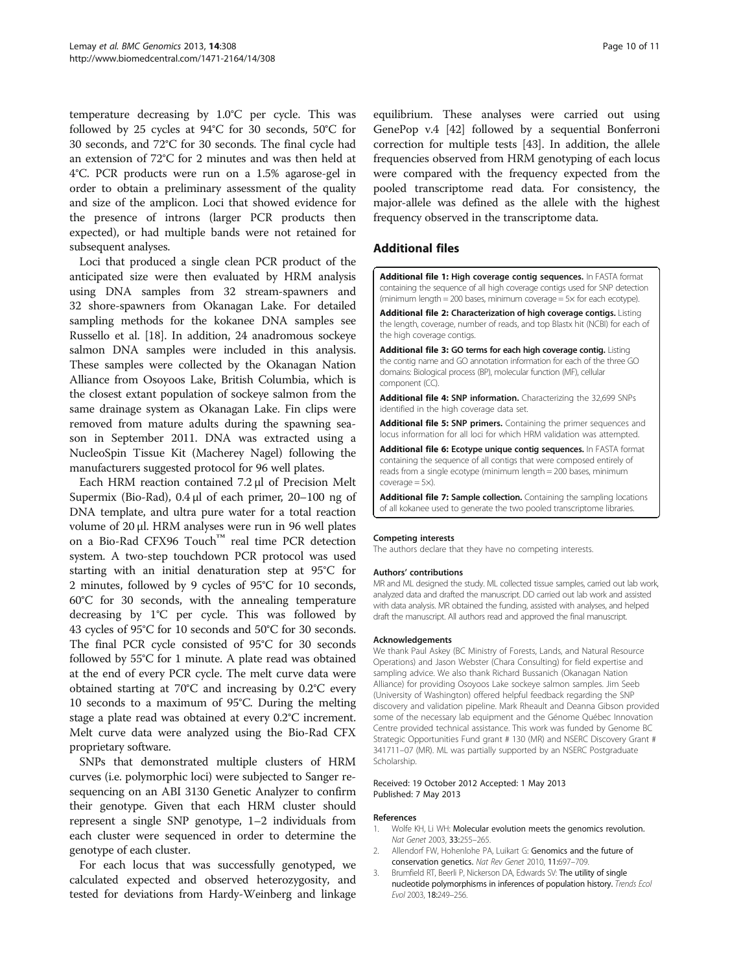<span id="page-9-0"></span>temperature decreasing by 1.0°C per cycle. This was followed by 25 cycles at 94°C for 30 seconds, 50°C for 30 seconds, and 72°C for 30 seconds. The final cycle had an extension of 72°C for 2 minutes and was then held at 4°C. PCR products were run on a 1.5% agarose-gel in order to obtain a preliminary assessment of the quality and size of the amplicon. Loci that showed evidence for the presence of introns (larger PCR products then expected), or had multiple bands were not retained for subsequent analyses.

Loci that produced a single clean PCR product of the anticipated size were then evaluated by HRM analysis using DNA samples from 32 stream-spawners and 32 shore-spawners from Okanagan Lake. For detailed sampling methods for the kokanee DNA samples see Russello et al. [\[18\]](#page-10-0). In addition, 24 anadromous sockeye salmon DNA samples were included in this analysis. These samples were collected by the Okanagan Nation Alliance from Osoyoos Lake, British Columbia, which is the closest extant population of sockeye salmon from the same drainage system as Okanagan Lake. Fin clips were removed from mature adults during the spawning season in September 2011. DNA was extracted using a NucleoSpin Tissue Kit (Macherey Nagel) following the manufacturers suggested protocol for 96 well plates.

Each HRM reaction contained 7.2 μl of Precision Melt Supermix (Bio-Rad), 0.4 μl of each primer, 20–100 ng of DNA template, and ultra pure water for a total reaction volume of 20 μl. HRM analyses were run in 96 well plates on a Bio-Rad CFX96 Touch™ real time PCR detection system. A two-step touchdown PCR protocol was used starting with an initial denaturation step at 95°C for 2 minutes, followed by 9 cycles of 95°C for 10 seconds, 60°C for 30 seconds, with the annealing temperature decreasing by 1°C per cycle. This was followed by 43 cycles of 95°C for 10 seconds and 50°C for 30 seconds. The final PCR cycle consisted of 95°C for 30 seconds followed by 55°C for 1 minute. A plate read was obtained at the end of every PCR cycle. The melt curve data were obtained starting at 70°C and increasing by 0.2°C every 10 seconds to a maximum of 95°C. During the melting stage a plate read was obtained at every 0.2°C increment. Melt curve data were analyzed using the Bio-Rad CFX proprietary software.

SNPs that demonstrated multiple clusters of HRM curves (i.e. polymorphic loci) were subjected to Sanger resequencing on an ABI 3130 Genetic Analyzer to confirm their genotype. Given that each HRM cluster should represent a single SNP genotype, 1–2 individuals from each cluster were sequenced in order to determine the genotype of each cluster.

For each locus that was successfully genotyped, we calculated expected and observed heterozygosity, and tested for deviations from Hardy-Weinberg and linkage equilibrium. These analyses were carried out using GenePop v.4 [[42](#page-10-0)] followed by a sequential Bonferroni correction for multiple tests [\[43](#page-10-0)]. In addition, the allele frequencies observed from HRM genotyping of each locus were compared with the frequency expected from the pooled transcriptome read data. For consistency, the major-allele was defined as the allele with the highest frequency observed in the transcriptome data.

# Additional files

[Additional file 1:](http://www.biomedcentral.com/content/supplementary/1471-2164-14-308-S1.txt) High coverage contig sequences. In FASTA format containing the sequence of all high coverage contigs used for SNP detection (minimum length = 200 bases, minimum coverage =  $5 \times$  for each ecotype).

[Additional file 2:](http://www.biomedcentral.com/content/supplementary/1471-2164-14-308-S2.csv) Characterization of high coverage contigs. Listing the length, coverage, number of reads, and top Blastx hit (NCBI) for each of the high coverage contigs.

[Additional file 3:](http://www.biomedcentral.com/content/supplementary/1471-2164-14-308-S3.csv) GO terms for each high coverage contig. Listing the contig name and GO annotation information for each of the three GO domains: Biological process (BP), molecular function (MF), cellular component (CC).

[Additional file 4:](http://www.biomedcentral.com/content/supplementary/1471-2164-14-308-S4.csv) SNP information. Characterizing the 32,699 SNPs identified in the high coverage data set.

[Additional file 5:](http://www.biomedcentral.com/content/supplementary/1471-2164-14-308-S5.doc) SNP primers. Containing the primer sequences and locus information for all loci for which HRM validation was attempted.

[Additional file 6:](http://www.biomedcentral.com/content/supplementary/1471-2164-14-308-S6.txt) Ecotype unique contig sequences. In FASTA format containing the sequence of all contigs that were composed entirely of reads from a single ecotype (minimum length = 200 bases, minimum  $coverace = 5 \times$ ).

[Additional file 7:](http://www.biomedcentral.com/content/supplementary/1471-2164-14-308-S7.doc) Sample collection. Containing the sampling locations of all kokanee used to generate the two pooled transcriptome libraries.

#### Competing interests

The authors declare that they have no competing interests.

#### Authors' contributions

MR and ML designed the study. ML collected tissue samples, carried out lab work, analyzed data and drafted the manuscript. DD carried out lab work and assisted with data analysis. MR obtained the funding, assisted with analyses, and helped draft the manuscript. All authors read and approved the final manuscript.

#### Acknowledgements

We thank Paul Askey (BC Ministry of Forests, Lands, and Natural Resource Operations) and Jason Webster (Chara Consulting) for field expertise and sampling advice. We also thank Richard Bussanich (Okanagan Nation Alliance) for providing Osoyoos Lake sockeye salmon samples. Jim Seeb (University of Washington) offered helpful feedback regarding the SNP discovery and validation pipeline. Mark Rheault and Deanna Gibson provided some of the necessary lab equipment and the Génome Québec Innovation Centre provided technical assistance. This work was funded by Genome BC Strategic Opportunities Fund grant # 130 (MR) and NSERC Discovery Grant # 341711–07 (MR). ML was partially supported by an NSERC Postgraduate Scholarship.

#### Received: 19 October 2012 Accepted: 1 May 2013 Published: 7 May 2013

#### References

- 1. Wolfe KH, Li WH: Molecular evolution meets the genomics revolution. Nat Genet 2003, 33:255–265.
- 2. Allendorf FW, Hohenlohe PA, Luikart G: Genomics and the future of conservation genetics. Nat Rev Genet 2010, 11:697–709.
- 3. Brumfield RT, Beerli P, Nickerson DA, Edwards SV: The utility of single nucleotide polymorphisms in inferences of population history. Trends Ecol Evol 2003, 18:249–256.